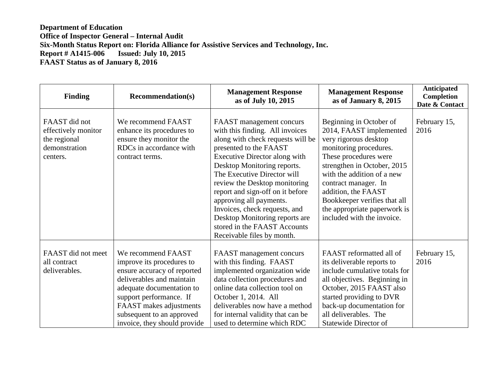## **Department of Education Office of Inspector General – Internal Audit Six-Month Status Report on: Florida Alliance for Assistive Services and Technology, Inc. Issued: July 10, 2015 FAAST Status as of January 8, 2016**

| <b>Finding</b>                                                                    | <b>Recommendation(s)</b>                                                                                                                                                                                                                                    | <b>Management Response</b><br>as of July 10, 2015                                                                                                                                                                                                                                                                                                                                                                                                          | <b>Management Response</b><br>as of January 8, 2015                                                                                                                                                                                                                                                                                      | Anticipated<br><b>Completion</b><br>Date & Contact |
|-----------------------------------------------------------------------------------|-------------------------------------------------------------------------------------------------------------------------------------------------------------------------------------------------------------------------------------------------------------|------------------------------------------------------------------------------------------------------------------------------------------------------------------------------------------------------------------------------------------------------------------------------------------------------------------------------------------------------------------------------------------------------------------------------------------------------------|------------------------------------------------------------------------------------------------------------------------------------------------------------------------------------------------------------------------------------------------------------------------------------------------------------------------------------------|----------------------------------------------------|
| FAAST did not<br>effectively monitor<br>the regional<br>demonstration<br>centers. | We recommend FAAST<br>enhance its procedures to<br>ensure they monitor the<br>RDCs in accordance with<br>contract terms.                                                                                                                                    | FAAST management concurs<br>with this finding. All invoices<br>along with check requests will be<br>presented to the FAAST<br>Executive Director along with<br>Desktop Monitoring reports.<br>The Executive Director will<br>review the Desktop monitoring<br>report and sign-off on it before<br>approving all payments.<br>Invoices, check requests, and<br>Desktop Monitoring reports are<br>stored in the FAAST Accounts<br>Receivable files by month. | Beginning in October of<br>2014, FAAST implemented<br>very rigorous desktop<br>monitoring procedures.<br>These procedures were<br>strengthen in October, 2015<br>with the addition of a new<br>contract manager. In<br>addition, the FAAST<br>Bookkeeper verifies that all<br>the appropriate paperwork is<br>included with the invoice. | February 15,<br>2016                               |
| FAAST did not meet<br>all contract<br>deliverables.                               | We recommend FAAST<br>improve its procedures to<br>ensure accuracy of reported<br>deliverables and maintain<br>adequate documentation to<br>support performance. If<br>FAAST makes adjustments<br>subsequent to an approved<br>invoice, they should provide | FAAST management concurs<br>with this finding. FAAST<br>implemented organization wide<br>data collection procedures and<br>online data collection tool on<br>October 1, 2014. All<br>deliverables now have a method<br>for internal validity that can be<br>used to determine which RDC                                                                                                                                                                    | FAAST reformatted all of<br>its deliverable reports to<br>include cumulative totals for<br>all objectives. Beginning in<br>October, 2015 FAAST also<br>started providing to DVR<br>back-up documentation for<br>all deliverables. The<br>Statewide Director of                                                                           | February 15,<br>2016                               |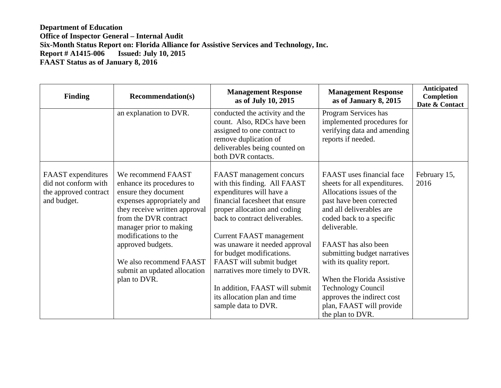## **Department of Education Office of Inspector General – Internal Audit Six-Month Status Report on: Florida Alliance for Assistive Services and Technology, Inc. Issued: July 10, 2015 FAAST Status as of January 8, 2016**

| <b>Finding</b>                                                                     | <b>Recommendation(s)</b>                                                                                                                                                                                                                                                                                           | <b>Management Response</b><br>as of July 10, 2015                                                                                                                                                                                                                                                                                                                                                                                                  | <b>Management Response</b><br>as of January 8, 2015                                                                                                                                                                                                                                                                                                                                                                    | <b>Anticipated</b><br>Completion<br>Date & Contact |
|------------------------------------------------------------------------------------|--------------------------------------------------------------------------------------------------------------------------------------------------------------------------------------------------------------------------------------------------------------------------------------------------------------------|----------------------------------------------------------------------------------------------------------------------------------------------------------------------------------------------------------------------------------------------------------------------------------------------------------------------------------------------------------------------------------------------------------------------------------------------------|------------------------------------------------------------------------------------------------------------------------------------------------------------------------------------------------------------------------------------------------------------------------------------------------------------------------------------------------------------------------------------------------------------------------|----------------------------------------------------|
|                                                                                    | an explanation to DVR.                                                                                                                                                                                                                                                                                             | conducted the activity and the<br>count. Also, RDCs have been<br>assigned to one contract to<br>remove duplication of<br>deliverables being counted on<br>both DVR contacts.                                                                                                                                                                                                                                                                       | Program Services has<br>implemented procedures for<br>verifying data and amending<br>reports if needed.                                                                                                                                                                                                                                                                                                                |                                                    |
| FAAST expenditures<br>did not conform with<br>the approved contract<br>and budget. | We recommend FAAST<br>enhance its procedures to<br>ensure they document<br>expenses appropriately and<br>they receive written approval<br>from the DVR contract<br>manager prior to making<br>modifications to the<br>approved budgets.<br>We also recommend FAAST<br>submit an updated allocation<br>plan to DVR. | FAAST management concurs<br>with this finding. All FAAST<br>expenditures will have a<br>financial facesheet that ensure<br>proper allocation and coding<br>back to contract deliverables.<br><b>Current FAAST management</b><br>was unaware it needed approval<br>for budget modifications.<br>FAAST will submit budget<br>narratives more timely to DVR.<br>In addition, FAAST will submit<br>its allocation plan and time<br>sample data to DVR. | FAAST uses financial face<br>sheets for all expenditures.<br>Allocations issues of the<br>past have been corrected<br>and all deliverables are<br>coded back to a specific<br>deliverable.<br>FAAST has also been<br>submitting budget narratives<br>with its quality report.<br>When the Florida Assistive<br><b>Technology Council</b><br>approves the indirect cost<br>plan, FAAST will provide<br>the plan to DVR. | February 15,<br>2016                               |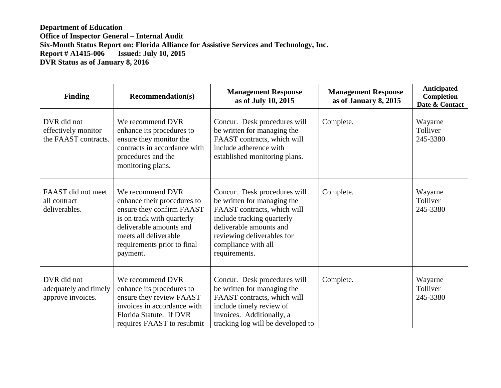**Department of Education Office of Inspector General – Internal Audit Six-Month Status Report on: Florida Alliance for Assistive Services and Technology, Inc. Issued: July 10, 2015 DVR Status as of January 8, 2016**

| <b>Finding</b>                                             | <b>Recommendation(s)</b>                                                                                                                                                                                  | <b>Management Response</b><br>as of July 10, 2015                                                                                                                                                                         | <b>Management Response</b><br>as of January 8, 2015 | Anticipated<br>Completion<br>Date & Contact |
|------------------------------------------------------------|-----------------------------------------------------------------------------------------------------------------------------------------------------------------------------------------------------------|---------------------------------------------------------------------------------------------------------------------------------------------------------------------------------------------------------------------------|-----------------------------------------------------|---------------------------------------------|
| DVR did not<br>effectively monitor<br>the FAAST contracts. | We recommend DVR<br>enhance its procedures to<br>ensure they monitor the<br>contracts in accordance with<br>procedures and the<br>monitoring plans.                                                       | Concur. Desk procedures will<br>be written for managing the<br>FAAST contracts, which will<br>include adherence with<br>established monitoring plans.                                                                     | Complete.                                           | Wayarne<br>Tolliver<br>245-3380             |
| FAAST did not meet<br>all contract<br>deliverables.        | We recommend DVR<br>enhance their procedures to<br>ensure they confirm FAAST<br>is on track with quarterly<br>deliverable amounts and<br>meets all deliverable<br>requirements prior to final<br>payment. | Concur. Desk procedures will<br>be written for managing the<br>FAAST contracts, which will<br>include tracking quarterly<br>deliverable amounts and<br>reviewing deliverables for<br>compliance with all<br>requirements. | Complete.                                           | Wayarne<br>Tolliver<br>245-3380             |
| DVR did not<br>adequately and timely<br>approve invoices.  | We recommend DVR<br>enhance its procedures to<br>ensure they review FAAST<br>invoices in accordance with<br>Florida Statute. If DVR<br>requires FAAST to resubmit                                         | Concur. Desk procedures will<br>be written for managing the<br>FAAST contracts, which will<br>include timely review of<br>invoices. Additionally, a<br>tracking log will be developed to                                  | Complete.                                           | Wayarne<br>Tolliver<br>245-3380             |